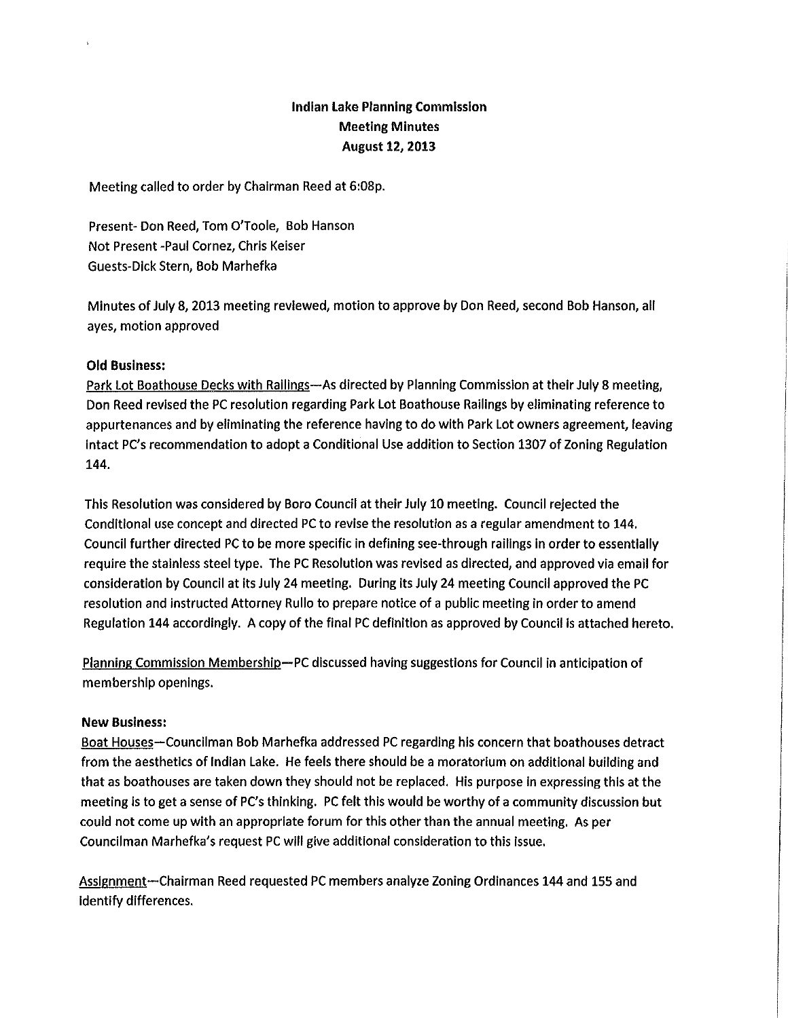### **Indian Lake Planning Commission Meeting Minutes August 12, 2013**

Meeting called to order by Chairman Reed at 6:08p.

Present- Don Reed, Tom O'Toole, Bob Hanson Not Present -Paul Cornez, Chris Keiser Guests-Dick Stern, Bob Marhefka

Minutes of July 8, 2013 meeting reviewed, motion to approve by Don Reed, second Bob Hanson, all ayes, motion approved

#### **Old Business:**

Park Lot Boathouse Decks with Railings-As directed by Planning Commission at their July 8 meeting, Don Reed revised the PC resolution regarding Park Lot Boathouse Railings by eliminating reference to appurtenances and by eliminating the reference having to do with Park Lot owners agreement, leaving intact PC's recommendation to adopt a Conditional Use addition to Section 1307 of Zoning Regulation 144.

This Resolution was considered by Boro Council at their July 10 meeting. Council rejected the Conditional use concept and directed PC to revise the resolution as a regular amendment to 144. Council further directed PC to be more specific in defining see-through railings in order to essentially require the stainless steel type. The PC Resolution was revised as directed, and approved via email for consideration by Council at its July 24 meeting. During its July 24 meeting Council approved the PC resolution and instructed Attorney Rullo to prepare notice of a public meeting in order to amend Regulation 144 accordingly. A copy of the final PC definition as approved by Council is attached hereto.

Planning Commission Membership-PC discussed having suggestions for Council in anticipation of membership openings.

#### **New Business:**

Boat Houses-Councilman Bob Marhefka addressed PC regarding his concern that boathouses detract from the aesthetics of Indian Lake. He feels there should be a moratorium on additional building and that as boathouses are taken down they should not be replaced. His purpose in expressing this at the meeting is to get a sense of PC's thinking. PC felt this would be worthy of a community discussion but could not come up with an appropriate forum for this other than the annual meeting. As per Councilman Marhefka's request PC will give additional consideration to this issue.

Assignment—Chairman Reed requested PC members analyze Zoning Ordinances 144 and 155 and identify differences.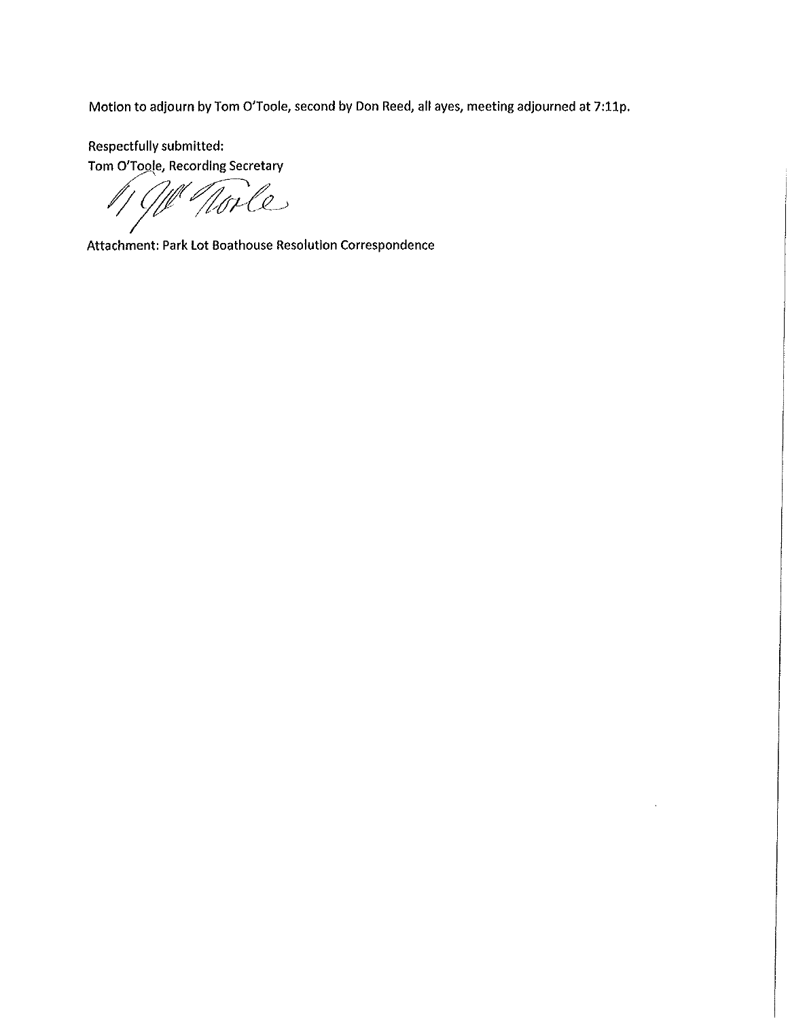Motion to adjourn by Tom O'Toole, second by Don Reed, all ayes, meeting adjourned at 7:11p.

Respectfully submitted: Tom O'Toole, Recording Secretary

Noile

Attachment: Park Lot Boathouse Resolution Correspondence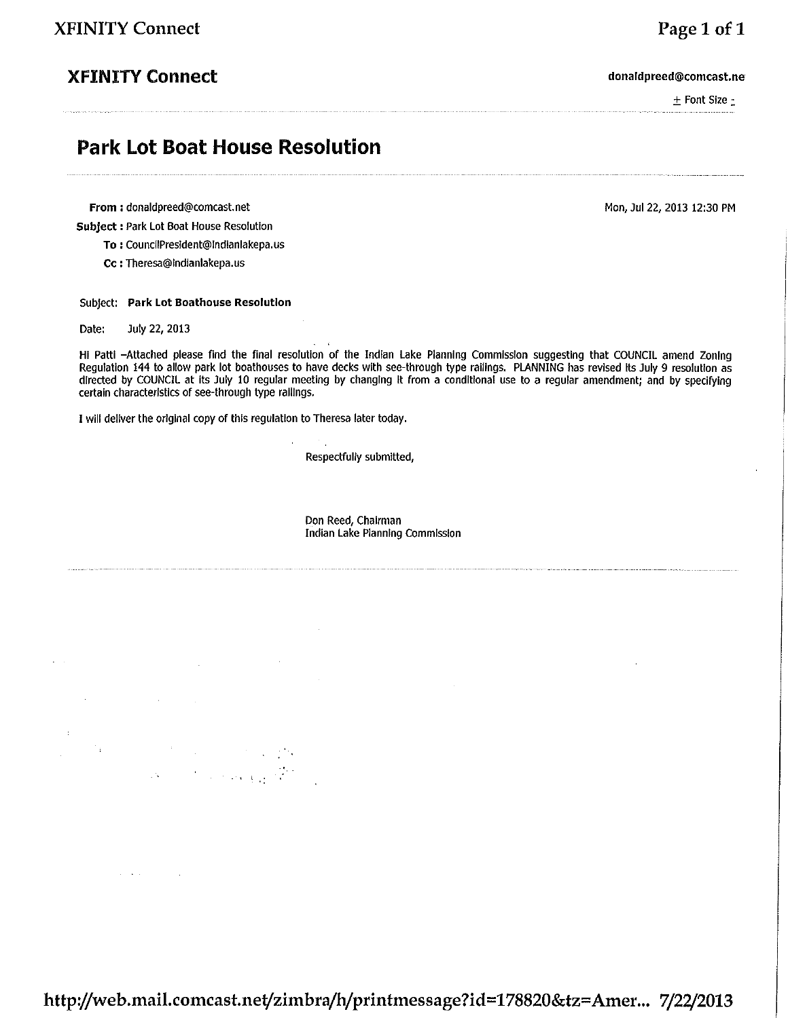## **XFINITY Connect**

donaldpreed@comcast.ne

 $±$  Font Size  $±$ 

Page 1 of 1

# **Park Lot Boat House Resolution**

From: donaldpreed@comcast.net

Subject : Park Lot Boat House Resolution

To: CouncilPresident@Indianlakepa.us

Cc: Theresa@Indianlakepa.us

#### Subject: Park Lot Boathouse Resolution

Date: July 22, 2013

Hi Patti -Attached please find the final resolution of the Indian Lake Planning Commission suggesting that COUNCIL amend Zoning Regulation 144 to allow park lot boathouses to have decks with see-through type railings. PLANNING has revised its July 9 resolution as directed by COUNCIL at its July 10 regular meeting by changing it from a conditional use to a regular amendment; and by specifying certain characteristics of see-through type railings.

I will deliver the original copy of this regulation to Theresa later today.

 $\label{eq:2.1} \mathcal{L}=\frac{1}{2}\sum_{i=1}^n\mathcal{L}^i\left(\mathcal{L}^i\right)\mathcal{L}^i\left(\mathcal{L}^i\right)\mathcal{L}^i\left(\mathcal{L}^i\right)\mathcal{L}^i\left(\mathcal{L}^i\right).$  $\label{eq:2} \Delta \mathcal{L} = \mathcal{L} \left( \mathcal{L} \right) \left( \mathcal{L} \right) \left( \mathcal{L} \right) \left( \mathcal{L} \right) \left( \mathcal{L} \right)$  Respectfully submitted,

Don Reed, Chairman Indian Lake Planning Commission Mon, Jul 22, 2013 12:30 PM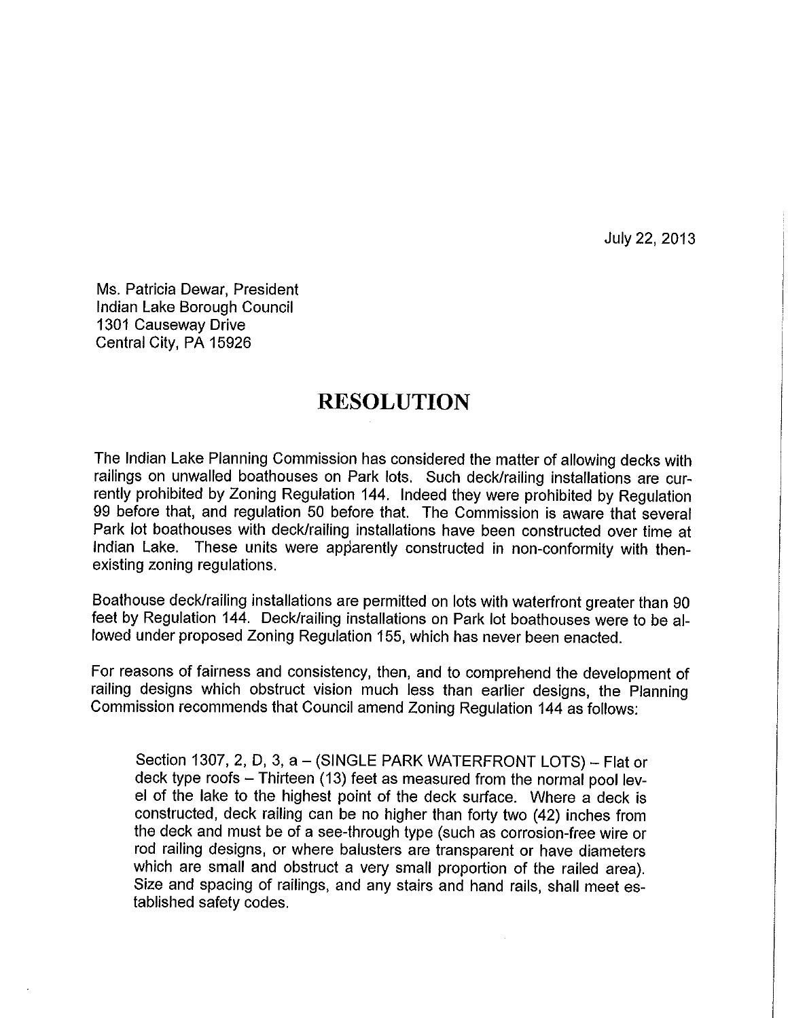July 22, 2013

Ms. Patricia Dewar, President Indian Lake Borough Council 1301 Causeway Drive Central City, PA 15926

# **RESOLUTION**

The Indian Lake Planning Commission has considered the matter of allowing decks with railings on unwalled boathouses on Park lots. Such deck/railing installations are currently prohibited by Zoning Regulation 144. Indeed they were prohibited by Regulation 99 before that, and regulation 50 before that. The Commission is aware that several Park lot boathouses with deck/railing installations have been constructed over time at Indian Lake. These units were apparently constructed in non-conformity with thenexisting zoning regulations.

Boathouse deck/railing installations are permitted on lots with waterfront greater than 90 feet by Regulation 144. Deck/railing installations on Park lot boathouses were to be allowed under proposed Zoning Regulation 155, which has never been enacted.

For reasons of fairness and consistency, then, and to comprehend the development of railing designs which obstruct vision much less than earlier designs, the Planning Commission recommends that Council amend Zoning Regulation 144 as follows:

Section 1307, 2, D, 3, a - (SINGLE PARK WATERFRONT LOTS) - Flat or deck type roofs - Thirteen (13) feet as measured from the normal pool level of the lake to the highest point of the deck surface. Where a deck is constructed, deck railing can be no higher than forty two (42) inches from the deck and must be of a see-through type (such as corrosion-free wire or rod railing designs, or where balusters are transparent or have diameters which are small and obstruct a very small proportion of the railed area). Size and spacing of railings, and any stairs and hand rails, shall meet established safety codes.